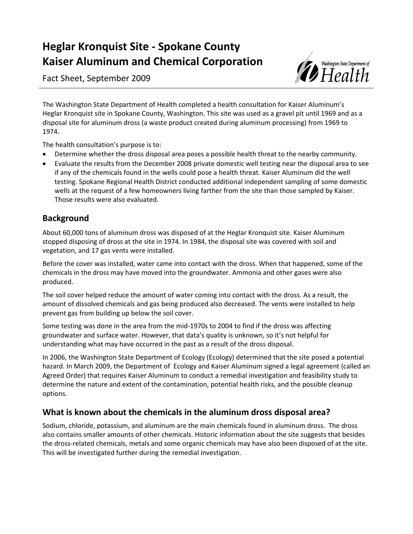# **Heglar Kronquist Site - Spokane County Kaiser Aluminum and Chemical Corporation**

Fact Sheet, September 2009



The Washington State Department of Health completed a health consultation for Kaiser Aluminum's Heglar Kronquist site in Spokane County, Washington. This site was used as a gravel pit until 1969 and as a disposal site for aluminum dross (a waste product created during aluminum processing) from 1969 to 1974.

The health consultation's purpose is to:

- Determine whether the dross disposal area poses a possible health threat to the nearby community.
- Evaluate the results from the December 2008 private domestic well testing near the disposal area to see if any of the chemicals found in the wells could pose a health threat. Kaiser Aluminum did the well testing. Spokane Regional Health District conducted additional independent sampling of some domestic wells at the request of a few homeowners living farther from the site than those sampled by Kaiser. Those results were also evaluated.

# **Background**

About 60,000 tons of aluminum dross was disposed of at the Heglar Kronquist site. Kaiser Aluminum stopped disposing of dross at the site in 1974. In 1984, the disposal site was covered with soil and vegetation, and 17 gas vents were installed.

Before the cover was installed, water came into contact with the dross. When that happened, some of the chemicals in the dross may have moved into the groundwater. Ammonia and other gases were also produced.

The soil cover helped reduce the amount of water coming into contact with the dross. As a result, the amount of dissolved chemicals and gas being produced also decreased. The vents were installed to help prevent gas from building up below the soil cover.

Some testing was done in the area from the mid-1970s to 2004 to find if the dross was affecting groundwater and surface water. However, that data's quality is unknown, so it's not helpful for understanding what may have occurred in the past as a result of the dross disposal.

In 2006, the Washington State Department of Ecology (Ecology) determined that the site posed a potential hazard. In March 2009, the Department of Ecology and Kaiser Aluminum signed a legal agreement (called an Agreed Order) that requires Kaiser Aluminum to conduct a remedial investigation and feasibility study to determine the nature and extent of the contamination, potential health risks, and the possible cleanup options.

# **What is known about the chemicals in the aluminum dross disposal area?**

Sodium, chloride, potassium, and aluminum are the main chemicals found in aluminum dross. The dross also contains smaller amounts of other chemicals. Historic information about the site suggests that besides the dross-related chemicals, metals and some organic chemicals may have also been disposed of at the site. This will be investigated further during the remedial investigation.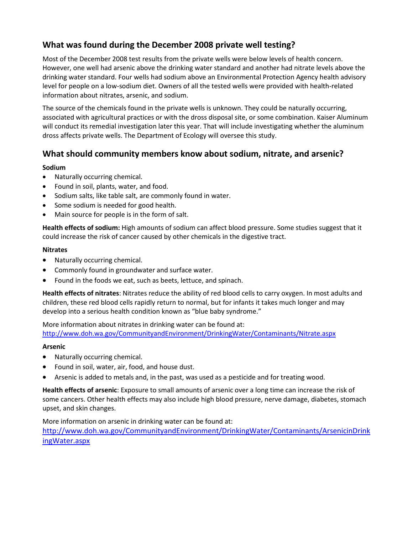# **What was found during the December 2008 private well testing?**

Most of the December 2008 test results from the private wells were below levels of health concern. However, one well had arsenic above the drinking water standard and another had nitrate levels above the drinking water standard. Four wells had sodium above an Environmental Protection Agency health advisory level for people on a low-sodium diet. Owners of all the tested wells were provided with health-related information about nitrates, arsenic, and sodium.

The source of the chemicals found in the private wells is unknown. They could be naturally occurring, associated with agricultural practices or with the dross disposal site, or some combination. Kaiser Aluminum will conduct its remedial investigation later this year. That will include investigating whether the aluminum dross affects private wells. The Department of Ecology will oversee this study.

## **What should community members know about sodium, nitrate, and arsenic?**

#### **Sodium**

- Naturally occurring chemical.
- Found in soil, plants, water, and food.
- Sodium salts, like table salt, are commonly found in water.
- Some sodium is needed for good health.
- Main source for people is in the form of salt.

**Health effects of sodium:** High amounts of sodium can affect blood pressure. Some studies suggest that it could increase the risk of cancer caused by other chemicals in the digestive tract.

#### **Nitrates**

- Naturally occurring chemical.
- Commonly found in groundwater and surface water.
- Found in the foods we eat, such as beets, lettuce, and spinach.

**Health effects of nitrates**: Nitrates reduce the ability of red blood cells to carry oxygen. In most adults and children, these red blood cells rapidly return to normal, but for infants it takes much longer and may develop into a serious health condition known as "blue baby syndrome."

More information about nitrates in drinking water can be found at: <http://www.doh.wa.gov/CommunityandEnvironment/DrinkingWater/Contaminants/Nitrate.aspx>

#### **Arsenic**

- Naturally occurring chemical.
- Found in soil, water, air, food, and house dust.
- Arsenic is added to metals and, in the past, was used as a pesticide and for treating wood.

**Health effects of arsenic**: Exposure to small amounts of arsenic over a long time can increase the risk of some cancers. Other health effects may also include high blood pressure, nerve damage, diabetes, stomach upset, and skin changes.

More information on arsenic in drinking water can be found at: [http://www.doh.wa.gov/CommunityandEnvironment/DrinkingWater/Contaminants/ArsenicinDrink](http://www.doh.wa.gov/CommunityandEnvironment/DrinkingWater/Contaminants/ArsenicinDrinkingWater.aspx) [ingWater.aspx](http://www.doh.wa.gov/CommunityandEnvironment/DrinkingWater/Contaminants/ArsenicinDrinkingWater.aspx)